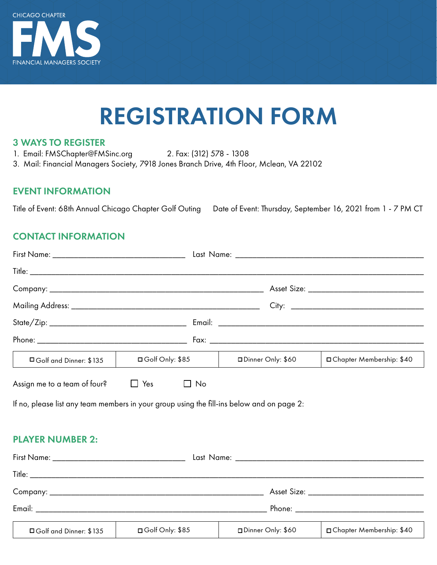

# REGISTRATION FORM

#### 3 WAYS TO REGISTER

- 1. Email: FMSChapter@FMSinc.org 2. Fax: (312) 578 1308
- 3. Mail: Financial Managers Society, 7918 Jones Branch Drive, 4th Floor, Mclean, VA 22102

#### EVENT INFORMATION

Title of Event: 68th Annual Chicago Chapter Golf Outing Date of Event: Thursday, September 16, 2021 from 1 - 7 PM CT

#### CONTACT INFORMATION

|                                                                                           |                        |                     | Asset Size: National Asset Size: |
|-------------------------------------------------------------------------------------------|------------------------|---------------------|----------------------------------|
|                                                                                           |                        |                     |                                  |
|                                                                                           |                        |                     |                                  |
|                                                                                           |                        |                     |                                  |
| □ Golf and Dinner: \$135                                                                  | $\Box$ Golf Only: \$85 | □ Dinner Only: \$60 | □ Chapter Membership: \$40       |
| Assign me to a team of four? $\Box$ Yes $\Box$ No                                         |                        |                     |                                  |
| If no, please list any team members in your group using the fill-ins below and on page 2: |                        |                     |                                  |

#### PLAYER NUMBER 2:

| $\begin{tabular}{c} \hline \textbf{Title:} \end{tabular}$ |                   |                   |                            |
|-----------------------------------------------------------|-------------------|-------------------|----------------------------|
|                                                           |                   |                   |                            |
|                                                           |                   |                   |                            |
| □ Golf and Dinner: \$135                                  | □ Golf Only: \$85 | Dinner Only: \$60 | □ Chapter Membership: \$40 |